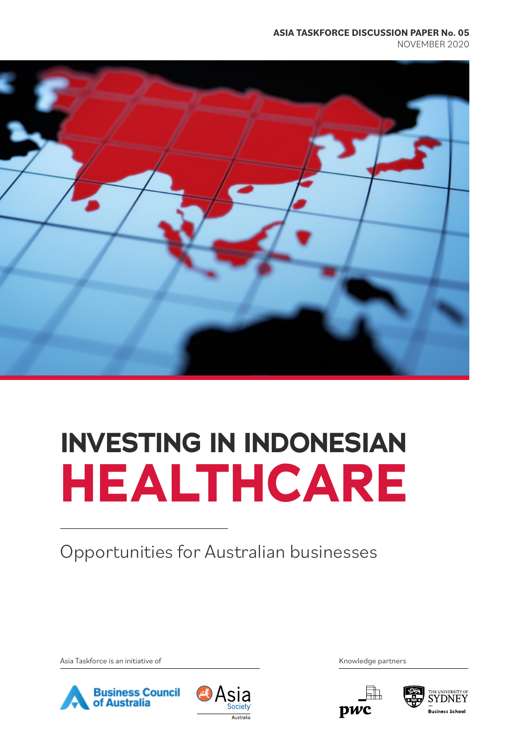#### **ASIA TASKFORCE DISCUSSION PAPER No. 05** NOVEMBER 2020



## **INVESTING IN INDONESIAN HEALTHCARE**

Opportunities for Australian businesses

Asia Taskforce is an initiative of the Community of Asia Taskforce is an initiative of Knowledge partners







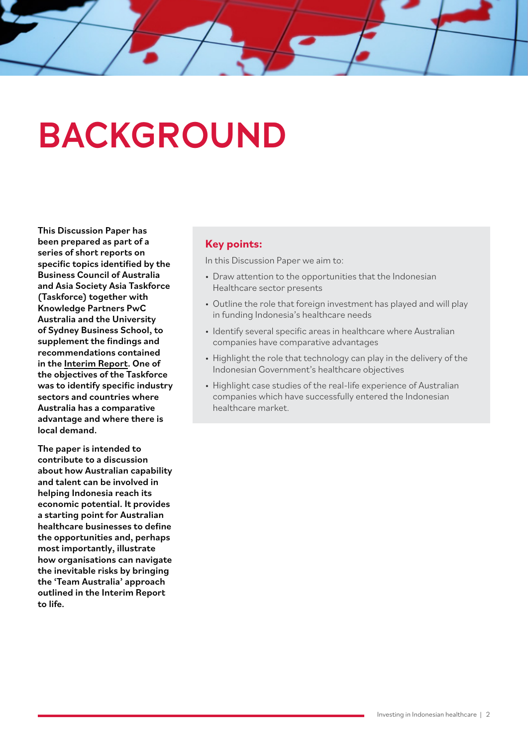### **BACKGROUND**

This Discussion Paper has been prepared as part of a series of short reports on specific topics identified by the Business Council of Australia and Asia Society Asia Taskforce (Taskforce) together with Knowledge Partners PwC Australia and the University of Sydney Business School, to supplement the findings and recommendations contained in the [Interim Report](https://asiasociety.org/sites/default/files/inline-files/Asia%20Taskforce%20Interim%20Report%20-%20A%20Second%20Chance.pdf). One of the objectives of the Taskforce was to identify specific industry sectors and countries where Australia has a comparative advantage and where there is local demand.

The paper is intended to contribute to a discussion about how Australian capability and talent can be involved in helping Indonesia reach its economic potential. It provides a starting point for Australian healthcare businesses to define the opportunities and, perhaps most importantly, illustrate how organisations can navigate the inevitable risks by bringing the 'Team Australia' approach outlined in the Interim Report to life.

#### **Key points:**

In this Discussion Paper we aim to:

- Draw attention to the opportunities that the Indonesian Healthcare sector presents
- Outline the role that foreign investment has played and will play in funding Indonesia's healthcare needs
- Identify several specific areas in healthcare where Australian companies have comparative advantages
- Highlight the role that technology can play in the delivery of the Indonesian Government's healthcare objectives
- Highlight case studies of the real-life experience of Australian companies which have successfully entered the Indonesian healthcare market.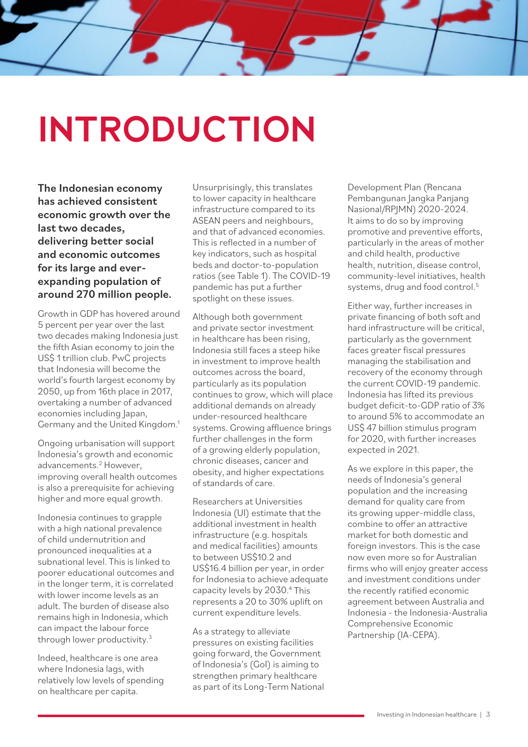# **INTRODUCTION**

The Indonesian economy has achieved consistent economic growth over the last two decades, delivering better social and economic outcomes for its large and everexpanding population of around 270 million people.

Growth in GDP has hovered around 5 percent per year over the last two decades making Indonesia just the fifth Asian economy to join the US\$ 1 trillion club. PwC projects that Indonesia will become the world's fourth largest economy by 2050, up from 16th place in 2017, overtaking a number of advanced economies including Japan, Germany and the United Kingdom.<sup>1</sup>

Ongoing urbanisation will support Indonesia's growth and economic advancements.<sup>2</sup> However, improving overall health outcomes is also a prerequisite for achieving higher and more equal growth.

Indonesia continues to grapple with a high national prevalence of child undernutrition and pronounced inequalities at a subnational level. This is linked to poorer educational outcomes and in the longer term, it is correlated with lower income levels as an adult. The burden of disease also remains high in Indonesia, which can impact the labour force through lower productivity.<sup>3</sup>

Indeed, healthcare is one area where Indonesia lags, with relatively low levels of spending on healthcare per capita.

Unsurprisingly, this translates to lower capacity in healthcare infrastructure compared to its ASEAN peers and neighbours, and that of advanced economies. This is reflected in a number of key indicators, such as hospital beds and doctor-to-population ratios (see Table 1). The COVID-19 pandemic has put a further spotlight on these issues.

Although both government and private sector investment in healthcare has been rising, Indonesia still faces a steep hike in investment to improve health outcomes across the board, particularly as its population continues to grow, which will place additional demands on already under-resourced healthcare systems. Growing affluence brings further challenges in the form of a growing elderly population, chronic diseases, cancer and obesity, and higher expectations of standards of care.

Researchers at Universities Indonesia (UI) estimate that the additional investment in health infrastructure (e.g. hospitals and medical facilities) amounts to between US\$10.2 and US\$16.4 billion per year, in order for Indonesia to achieve adequate capacity levels by 2030.<sup>4</sup> This represents a 20 to 30% uplift on current expenditure levels.

As a strategy to alleviate pressures on existing facilities going forward, the Government of Indonesia's (GoI) is aiming to strengthen primary healthcare as part of its Long-Term National Development Plan (Rencana Pembangunan Jangka Panjang Nasional/RPJMN) 2020-2024. It aims to do so by improving promotive and preventive efforts, particularly in the areas of mother and child health, productive health, nutrition, disease control, community-level initiatives, health systems, drug and food control.<sup>5</sup>

Either way, further increases in private financing of both soft and hard infrastructure will be critical, particularly as the government faces greater fiscal pressures managing the stabilisation and recovery of the economy through the current COVID-19 pandemic. Indonesia has lifted its previous budget deficit-to-GDP ratio of 3% to around 5% to accommodate an US\$ 47 billion stimulus program for 2020, with further increases expected in 2021.

As we explore in this paper, the needs of Indonesia's general population and the increasing demand for quality care from its growing upper-middle class, combine to offer an attractive market for both domestic and foreign investors. This is the case now even more so for Australian firms who will enjoy greater access and investment conditions under the recently ratified economic agreement between Australia and Indonesia - the Indonesia-Australia Comprehensive Economic Partnership (IA-CEPA).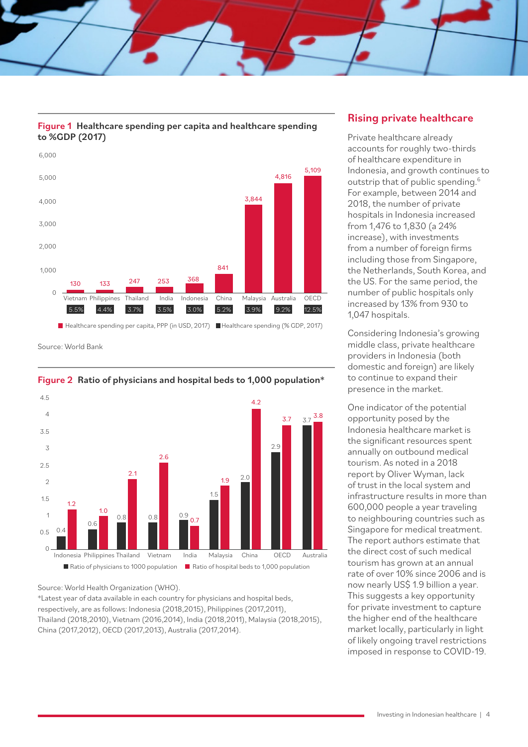



■ Healthcare spending per capita, PPP (in USD, 2017) ■ Healthcare spending (% GDP, 2017)

Source: World Bank



#### Figure 2 Ratio of physicians and hospital beds to 1,000 population\*

Source: World Health Organization (WHO).

\*Latest year of data available in each country for physicians and hospital beds, respectively, are as follows: Indonesia (2018,2015), Philippines (2017,2011), Thailand (2018,2010), Vietnam (2016,2014), India (2018,2011), Malaysia (2018,2015), China (2017,2012), OECD (2017,2013), Australia (2017,2014).

#### Rising private healthcare

Private healthcare already accounts for roughly two-thirds of healthcare expenditure in Indonesia, and growth continues to outstrip that of public spending.<sup>6</sup> For example, between 2014 and 2018, the number of private hospitals in Indonesia increased from 1,476 to 1,830 (a 24% increase), with investments from a number of foreign firms including those from Singapore, the Netherlands, South Korea, and the US. For the same period, the number of public hospitals only increased by 13% from 930 to 1,047 hospitals.

Considering Indonesia's growing middle class, private healthcare providers in Indonesia (both domestic and foreign) are likely to continue to expand their presence in the market.

One indicator of the potential opportunity posed by the Indonesia healthcare market is the significant resources spent annually on outbound medical tourism. As noted in a 2018 report by Oliver Wyman, lack of trust in the local system and infrastructure results in more than 600,000 people a year traveling to neighbouring countries such as Singapore for medical treatment. The report authors estimate that the direct cost of such medical tourism has grown at an annual rate of over 10% since 2006 and is now nearly US\$ 1.9 billion a year. This suggests a key opportunity for private investment to capture the higher end of the healthcare market locally, particularly in light of likely ongoing travel restrictions imposed in response to COVID-19.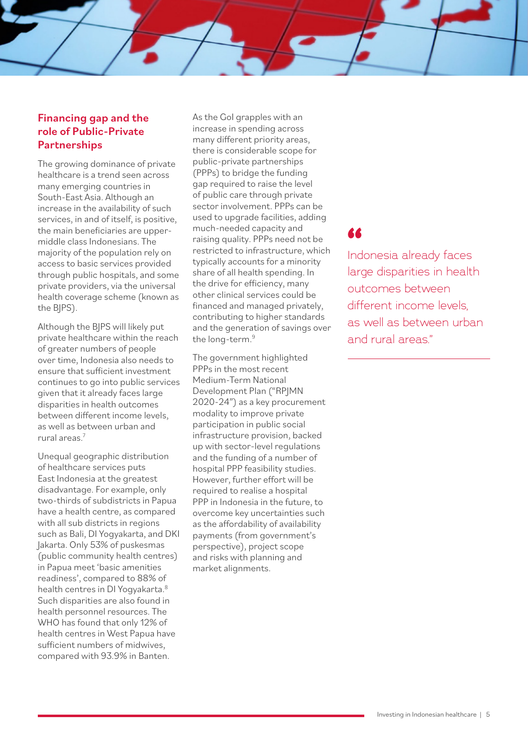#### Financing gap and the role of Public-Private **Partnerships**

The growing dominance of private healthcare is a trend seen across many emerging countries in South-East Asia. Although an increase in the availability of such services, in and of itself, is positive, the main beneficiaries are uppermiddle class Indonesians. The majority of the population rely on access to basic services provided through public hospitals, and some private providers, via the universal health coverage scheme (known as the BJPS).

Although the BJPS will likely put private healthcare within the reach of greater numbers of people over time, Indonesia also needs to ensure that sufficient investment continues to go into public services given that it already faces large disparities in health outcomes between different income levels, as well as between urban and rural areas.7

Unequal geographic distribution of healthcare services puts East Indonesia at the greatest disadvantage. For example, only two-thirds of subdistricts in Papua have a health centre, as compared with all sub districts in regions such as Bali, DI Yogyakarta, and DKI Jakarta. Only 53% of puskesmas (public community health centres) in Papua meet 'basic amenities readiness', compared to 88% of health centres in DI Yogyakarta.8 Such disparities are also found in health personnel resources. The WHO has found that only 12% of health centres in West Papua have sufficient numbers of midwives, compared with 93.9% in Banten.

As the GoI grapples with an increase in spending across many different priority areas, there is considerable scope for public-private partnerships (PPPs) to bridge the funding gap required to raise the level of public care through private sector involvement. PPPs can be used to upgrade facilities, adding much-needed capacity and raising quality. PPPs need not be restricted to infrastructure, which typically accounts for a minority share of all health spending. In the drive for efficiency, many other clinical services could be financed and managed privately, contributing to higher standards and the generation of savings over the long-term.9

The government highlighted PPPs in the most recent Medium-Term National Development Plan ("RPJMN 2020-24") as a key procurement modality to improve private participation in public social infrastructure provision, backed up with sector-level regulations and the funding of a number of hospital PPP feasibility studies. However, further effort will be required to realise a hospital PPP in Indonesia in the future, to overcome key uncertainties such as the affordability of availability payments (from government's perspective), project scope and risks with planning and market alignments.

Indonesia already faces **"**large disparities in health outcomes between different income levels. as well as between urban and rural areas"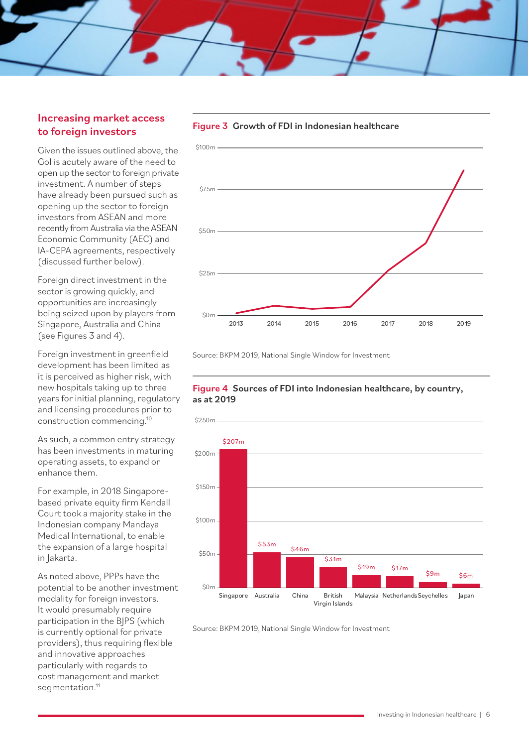#### Increasing market access to foreign investors

Given the issues outlined above, the GoI is acutely aware of the need to open up the sector to foreign private investment. A number of steps have already been pursued such as opening up the sector to foreign investors from ASEAN and more recently from Australia via the ASEAN Economic Community (AEC) and IA-CEPA agreements, respectively (discussed further below).

Foreign direct investment in the sector is growing quickly, and opportunities are increasingly being seized upon by players from Singapore, Australia and China (see Figures 3 and 4).

Foreign investment in greenfield development has been limited as it is perceived as higher risk, with new hospitals taking up to three years for initial planning, regulatory and licensing procedures prior to construction commencing.10

As such, a common entry strategy has been investments in maturing operating assets, to expand or enhance them.

For example, in 2018 Singaporebased private equity firm Kendall Court took a majority stake in the Indonesian company Mandaya Medical International, to enable the expansion of a large hospital in Jakarta.

As noted above, PPPs have the potential to be another investment modality for foreign investors. It would presumably require participation in the BJPS (which is currently optional for private providers), thus requiring flexible and innovative approaches particularly with regards to cost management and market segmentation.<sup>11</sup>



Source: BKPM 2019, National Single Window for Investment

#### Figure 4 Sources of FDI into Indonesian healthcare, by country, as at 2019



Source: BKPM 2019, National Single Window for Investment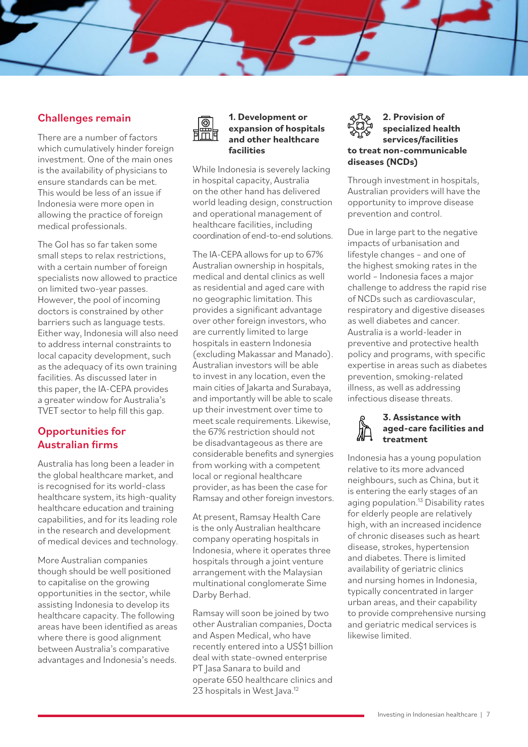### Challenges remain

There are a number of factors which cumulatively hinder foreign investment. One of the main ones is the availability of physicians to ensure standards can be met. This would be less of an issue if Indonesia were more open in allowing the practice of foreign medical professionals.

The GoI has so far taken some small steps to relax restrictions, with a certain number of foreign specialists now allowed to practice on limited two-year passes. However, the pool of incoming doctors is constrained by other barriers such as language tests. Either way, Indonesia will also need to address internal constraints to local capacity development, such as the adequacy of its own training facilities. As discussed later in this paper, the IA-CEPA provides a greater window for Australia's TVET sector to help fill this gap.

#### Opportunities for Australian firms

Australia has long been a leader in the global healthcare market, and is recognised for its world-class healthcare system, its high-quality healthcare education and training capabilities, and for its leading role in the research and development of medical devices and technology.

More Australian companies though should be well positioned to capitalise on the growing opportunities in the sector, while assisting Indonesia to develop its healthcare capacity. The following areas have been identified as areas where there is good alignment between Australia's comparative advantages and Indonesia's needs.



#### **1. Development or expansion of hospitals and other healthcare facilities**

While Indonesia is severely lacking in hospital capacity, Australia on the other hand has delivered world leading design, construction and operational management of healthcare facilities, including coordination of end-to-end solutions.

The IA-CEPA allows for up to 67% Australian ownership in hospitals, medical and dental clinics as well as residential and aged care with no geographic limitation. This provides a significant advantage over other foreign investors, who are currently limited to large hospitals in eastern Indonesia (excluding Makassar and Manado). Australian investors will be able to invest in any location, even the main cities of Jakarta and Surabaya, and importantly will be able to scale up their investment over time to meet scale requirements. Likewise, the 67% restriction should not be disadvantageous as there are considerable benefits and synergies from working with a competent local or regional healthcare provider, as has been the case for Ramsay and other foreign investors.

At present, Ramsay Health Care is the only Australian healthcare company operating hospitals in Indonesia, where it operates three hospitals through a joint venture arrangement with the Malaysian multinational conglomerate Sime Darby Berhad.

Ramsay will soon be joined by two other Australian companies, Docta and Aspen Medical, who have recently entered into a US\$1 billion deal with state-owned enterprise PT Jasa Sanara to build and operate 650 healthcare clinics and 23 hospitals in West Java.<sup>12</sup>

#### **2. Provision of specialized health services/facilities to treat non-communicable diseases (NCDs)**

Through investment in hospitals, Australian providers will have the opportunity to improve disease prevention and control.

Due in large part to the negative impacts of urbanisation and lifestyle changes – and one of the highest smoking rates in the world – Indonesia faces a major challenge to address the rapid rise of NCDs such as cardiovascular, respiratory and digestive diseases as well diabetes and cancer. Australia is a world-leader in preventive and protective health policy and programs, with specific expertise in areas such as diabetes prevention, smoking-related illness, as well as addressing infectious disease threats.

#### **3. Assistance with aged-care facilities and treatment**

Indonesia has a young population relative to its more advanced neighbours, such as China, but it is entering the early stages of an aging population.<sup>13</sup> Disability rates for elderly people are relatively high, with an increased incidence of chronic diseases such as heart disease, strokes, hypertension and diabetes. There is limited availability of geriatric clinics and nursing homes in Indonesia, typically concentrated in larger urban areas, and their capability to provide comprehensive nursing and geriatric medical services is likewise limited.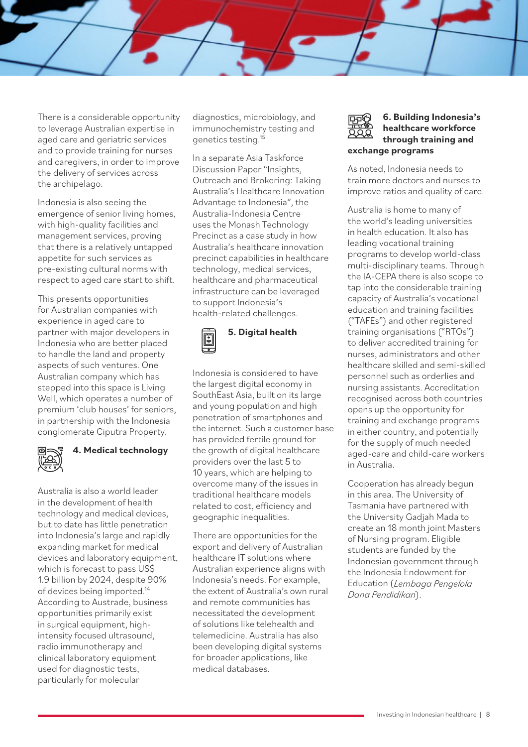There is a considerable opportunity to leverage Australian expertise in aged care and geriatric services and to provide training for nurses and caregivers, in order to improve the delivery of services across the archipelago.

Indonesia is also seeing the emergence of senior living homes, with high-quality facilities and management services, proving that there is a relatively untapped appetite for such services as pre-existing cultural norms with respect to aged care start to shift.

This presents opportunities for Australian companies with experience in aged care to partner with major developers in Indonesia who are better placed to handle the land and property aspects of such ventures. One Australian company which has stepped into this space is Living Well, which operates a number of premium 'club houses' for seniors, in partnership with the Indonesia conglomerate Ciputra Property.



### **4. Medical technology**

Australia is also a world leader in the development of health technology and medical devices, but to date has little penetration into Indonesia's large and rapidly expanding market for medical devices and laboratory equipment. which is forecast to pass US\$ 1.9 billion by 2024, despite 90% of devices being imported.<sup>14</sup> According to Austrade, business opportunities primarily exist in surgical equipment, highintensity focused ultrasound, radio immunotherapy and clinical laboratory equipment used for diagnostic tests, particularly for molecular

diagnostics, microbiology, and immunochemistry testing and genetics testing.15

In a separate Asia Taskforce Discussion Paper "Insights, Outreach and Brokering: Taking Australia's Healthcare Innovation Advantage to Indonesia", the Australia-Indonesia Centre uses the Monash Technology Precinct as a case study in how Australia's healthcare innovation precinct capabilities in healthcare technology, medical services, healthcare and pharmaceutical infrastructure can be leveraged to support Indonesia's health-related challenges.



Indonesia is considered to have the largest digital economy in SouthEast Asia, built on its large and young population and high penetration of smartphones and the internet. Such a customer base has provided fertile ground for the growth of digital healthcare providers over the last 5 to 10 years, which are helping to overcome many of the issues in traditional healthcare models related to cost, efficiency and geographic inequalities.

There are opportunities for the export and delivery of Australian healthcare IT solutions where Australian experience aligns with Indonesia's needs. For example, the extent of Australia's own rural and remote communities has necessitated the development of solutions like telehealth and telemedicine. Australia has also been developing digital systems for broader applications, like medical databases.



#### **6. Building Indonesia's healthcare workforce through training and exchange programs**

As noted, Indonesia needs to train more doctors and nurses to improve ratios and quality of care.

Australia is home to many of the world's leading universities in health education. It also has leading vocational training programs to develop world-class multi-disciplinary teams. Through the IA-CEPA there is also scope to tap into the considerable training capacity of Australia's vocational education and training facilities ("TAFEs") and other registered training organisations ("RTOs") to deliver accredited training for nurses, administrators and other healthcare skilled and semi-skilled personnel such as orderlies and nursing assistants. Accreditation recognised across both countries opens up the opportunity for training and exchange programs in either country, and potentially for the supply of much needed aged-care and child-care workers in Australia.

Cooperation has already begun in this area. The University of Tasmania have partnered with the University Gadjah Mada to create an 18 month joint Masters of Nursing program. Eligible students are funded by the Indonesian government through the Indonesia Endowment for Education (*Lembaga Pengelola Dana Pendidikan*).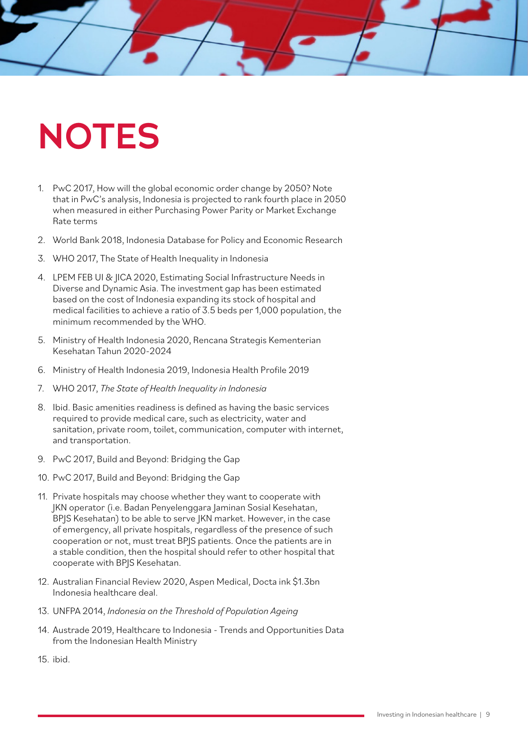## **NOTES**

- 1. PwC 2017, How will the global economic order change by 2050? Note that in PwC's analysis, Indonesia is projected to rank fourth place in 2050 when measured in either Purchasing Power Parity or Market Exchange Rate terms
- 2. World Bank 2018, Indonesia Database for Policy and Economic Research
- 3. WHO 2017, The State of Health Inequality in Indonesia
- 4. LPEM FEB UI & JICA 2020, Estimating Social Infrastructure Needs in Diverse and Dynamic Asia. The investment gap has been estimated based on the cost of Indonesia expanding its stock of hospital and medical facilities to achieve a ratio of 3.5 beds per 1,000 population, the minimum recommended by the WHO.
- 5. Ministry of Health Indonesia 2020, Rencana Strategis Kementerian Kesehatan Tahun 2020-2024
- 6. Ministry of Health Indonesia 2019, Indonesia Health Profile 2019
- 7. WHO 2017, *The State of Health Inequality in Indonesia*
- 8. Ibid. Basic amenities readiness is defined as having the basic services required to provide medical care, such as electricity, water and sanitation, private room, toilet, communication, computer with internet, and transportation.
- 9. PwC 2017, Build and Beyond: Bridging the Gap
- 10. PwC 2017, Build and Beyond: Bridging the Gap
- 11. Private hospitals may choose whether they want to cooperate with JKN operator (i.e. Badan Penyelenggara Jaminan Sosial Kesehatan, BPJS Kesehatan) to be able to serve JKN market. However, in the case of emergency, all private hospitals, regardless of the presence of such cooperation or not, must treat BPJS patients. Once the patients are in a stable condition, then the hospital should refer to other hospital that cooperate with BPJS Kesehatan.
- 12. Australian Financial Review 2020, Aspen Medical, Docta ink \$1.3bn Indonesia healthcare deal.
- 13. UNFPA 2014, *Indonesia on the Threshold of Population Ageing*
- 14. Austrade 2019, Healthcare to Indonesia Trends and Opportunities Data from the Indonesian Health Ministry
- 15. ibid.